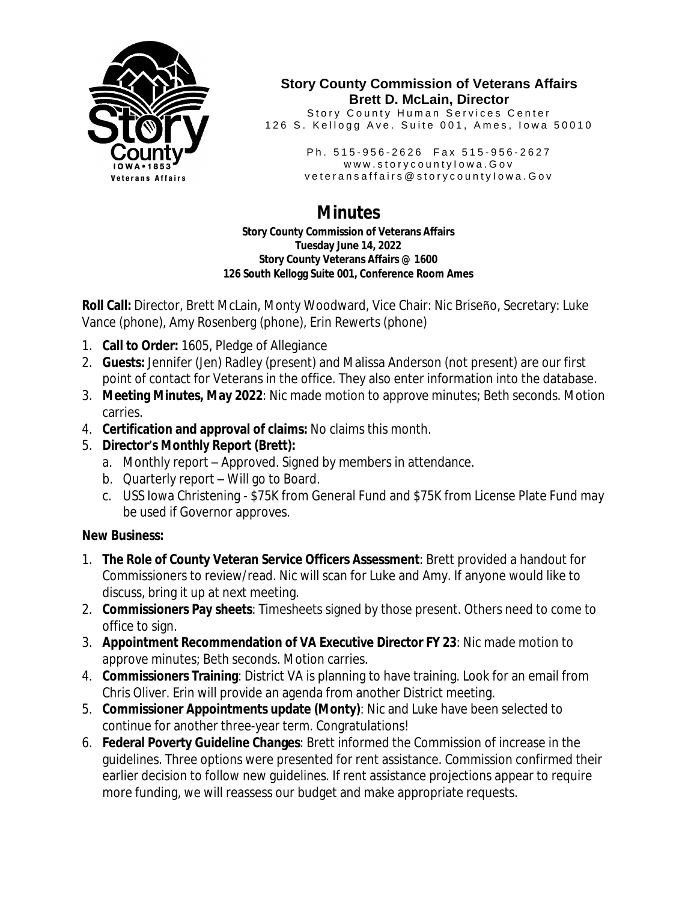

#### **Story County Commission of Veterans Affairs Brett D. McLain, Director**

Story County Human Services Center 126 S. Kellogg Ave. Suite 001, Ames, Iowa 50010

> Ph. 515-956-2626 Fax 515-956-2627 www.storycountylowa.Gov v e t e r an s a f f a i r s @ s t o r y c o u n t y l o w a . G o v

# **Minutes**

**Story County Commission of Veterans Affairs Tuesday June 14, 2022 Story County Veterans Affairs @ 1600 126 South Kellogg Suite 001, Conference Room Ames**

**Roll Call:** Director, Brett McLain, Monty Woodward, Vice Chair: Nic Briseño, Secretary: Luke Vance (phone), Amy Rosenberg (phone), Erin Rewerts (phone)

- 1. **Call to Order:** 1605, Pledge of Allegiance
- 2. **Guests:** Jennifer (Jen) Radley (present) and Malissa Anderson (not present) are our first point of contact for Veterans in the office. They also enter information into the database.
- 3. **Meeting Minutes, May 2022**: Nic made motion to approve minutes; Beth seconds. Motion carries.
- 4. **Certification and approval of claims:** No claims this month.
- 5. **Director's Monthly Report (Brett):**
	- a. Monthly report Approved. Signed by members in attendance.
	- b. Quarterly report Will go to Board.
	- c. USS Iowa Christening \$75K from General Fund and \$75K from License Plate Fund may be used if Governor approves.

## **New Business:**

- 1. **The Role of County Veteran Service Officers Assessment**: Brett provided a handout for Commissioners to review/read. Nic will scan for Luke and Amy. If anyone would like to discuss, bring it up at next meeting.
- 2. **Commissioners Pay sheets**: Timesheets signed by those present. Others need to come to office to sign.
- 3. **Appointment Recommendation of VA Executive Director FY 23**: Nic made motion to approve minutes; Beth seconds. Motion carries.
- 4. **Commissioners Training**: District VA is planning to have training. Look for an email from Chris Oliver. Erin will provide an agenda from another District meeting.
- 5. **Commissioner Appointments update (Monty)**: Nic and Luke have been selected to continue for another three-year term. Congratulations!
- 6. **Federal Poverty Guideline Changes**: Brett informed the Commission of increase in the guidelines. Three options were presented for rent assistance. Commission confirmed their earlier decision to follow new guidelines. If rent assistance projections appear to require more funding, we will reassess our budget and make appropriate requests.